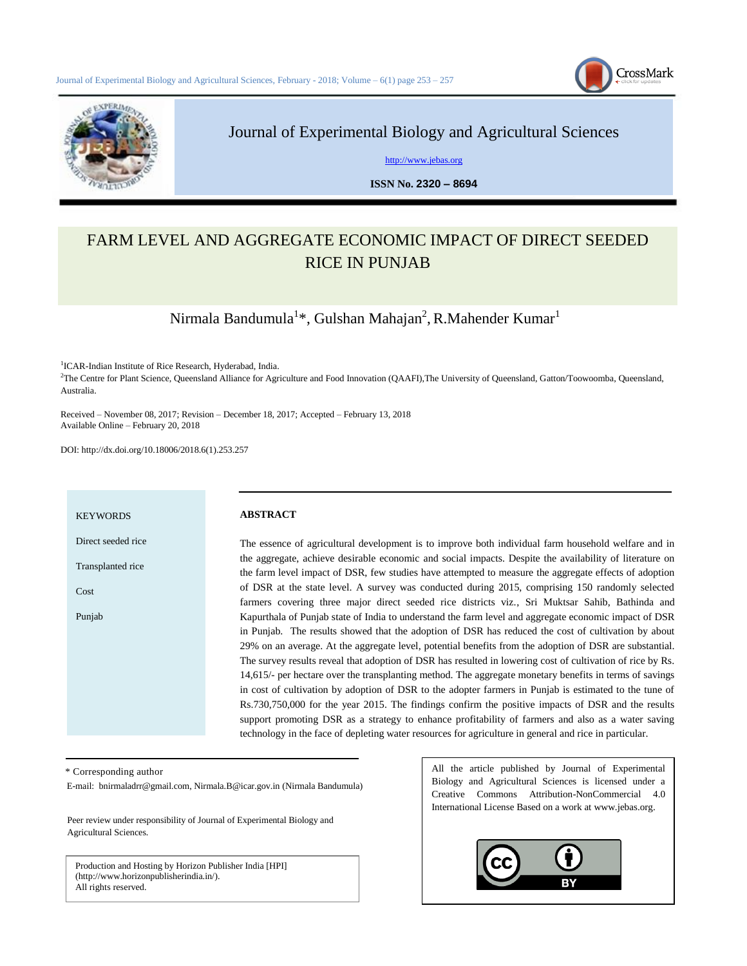



# Journal of Experimental Biology and Agricultural Sciences

[http://www.jebas.org](http://www.jebas.org/)

**ISSN No. 2320 – 8694** 

# FARM LEVEL AND AGGREGATE ECONOMIC IMPACT OF DIRECT SEEDED RICE IN PUNJAB

Nirmala Bandumula $^{1*}$ , Gulshan Mahajan<sup>2</sup>, R.Mahender Kumar $^{1}$ 

<sup>1</sup>ICAR-Indian Institute of Rice Research, Hyderabad, India. <sup>2</sup>The Centre for Plant Science, Queensland Alliance for Agriculture and Food Innovation (QAAFI),The University of Queensland, Gatton/Toowoomba, Queensland, Australia.

Received – November 08, 2017; Revision – December 18, 2017; Accepted – February 13, 2018 Available Online – February 20, 2018

DOI: http://dx.doi.org/10.18006/2018.6(1).253.257

#### **KEYWORDS**

Direct seeded rice

Transplanted rice

Cost

Punjab

### **ABSTRACT**

The essence of agricultural development is to improve both individual farm household welfare and in the aggregate, achieve desirable economic and social impacts. Despite the availability of literature on the farm level impact of DSR, few studies have attempted to measure the aggregate effects of adoption of DSR at the state level. A survey was conducted during 2015, comprising 150 randomly selected farmers covering three major direct seeded rice districts viz., Sri Muktsar Sahib, Bathinda and Kapurthala of Punjab state of India to understand the farm level and aggregate economic impact of DSR in Punjab. The results showed that the adoption of DSR has reduced the cost of cultivation by about 29% on an average. At the aggregate level, potential benefits from the adoption of DSR are substantial. The survey results reveal that adoption of DSR has resulted in lowering cost of cultivation of rice by Rs. 14,615/- per hectare over the transplanting method. The aggregate monetary benefits in terms of savings in cost of cultivation by adoption of DSR to the adopter farmers in Punjab is estimated to the tune of Rs.730,750,000 for the year 2015. The findings confirm the positive impacts of DSR and the results support promoting DSR as a strategy to enhance profitability of farmers and also as a water saving technology in the face of depleting water resources for agriculture in general and rice in particular.

\* Corresponding author

E-mail: [bnirmaladrr@gmail.com,](mailto:bnirmaladrr@gmail.com) [Nirmala.B@icar.gov.in](mailto:Nirmala.B@icar.gov.in) (Nirmala Bandumula)

Peer review under responsibility of Journal of Experimental Biology and Agricultural Sciences.

Production and Hosting by Horizon Publisher India [HPI] (http://www.horizonpublisherindia.in/). All rights reserved.

All the article published by Journal of Experimental Biology and Agricultural Sciences is licensed under a Creative Commons Attribution-NonCommercial 4.0 International License Based on a work at www.jebas.org.

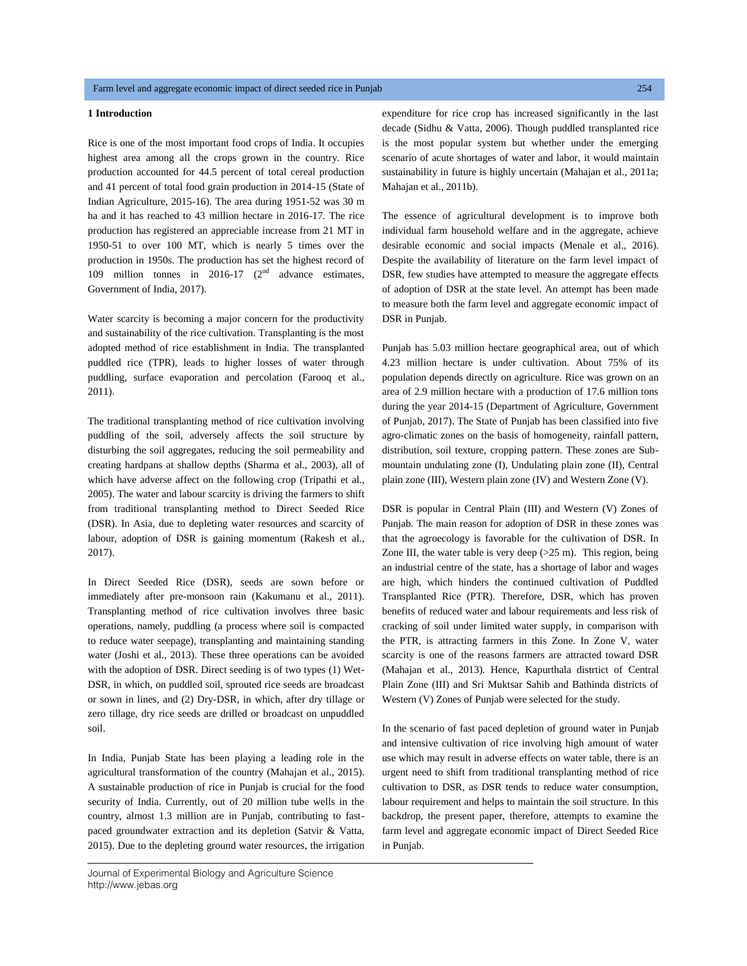# **1 Introduction**

Rice is one of the most important food crops of India. It occupies highest area among all the crops grown in the country. Rice production accounted for 44.5 percent of total cereal production and 41 percent of total food grain production in 2014-15 (State of Indian Agriculture, 2015-16). The area during 1951-52 was 30 m ha and it has reached to 43 million hectare in 2016-17. The rice production has registered an appreciable increase from 21 MT in 1950-51 to over 100 MT, which is nearly 5 times over the production in 1950s. The production has set the highest record of 109 million tonnes in 2016-17  $(2<sup>nd</sup>$  advance estimates, Government of India, 2017).

Water scarcity is becoming a major concern for the productivity and sustainability of the rice cultivation. Transplanting is the most adopted method of rice establishment in India. The transplanted puddled rice (TPR), leads to higher losses of water through puddling, surface evaporation and percolation (Farooq et al., 2011).

The traditional transplanting method of rice cultivation involving puddling of the soil, adversely affects the soil structure by disturbing the soil aggregates, reducing the soil permeability and creating hardpans at shallow depths (Sharma et al., 2003), all of which have adverse affect on the following crop (Tripathi et al., 2005). The water and labour scarcity is driving the farmers to shift from traditional transplanting method to Direct Seeded Rice (DSR). In Asia, due to depleting water resources and scarcity of labour, adoption of DSR is gaining momentum (Rakesh et al., 2017).

In Direct Seeded Rice (DSR), seeds are sown before or immediately after pre-monsoon rain (Kakumanu et al., 2011). Transplanting method of rice cultivation involves three basic operations, namely, puddling (a process where soil is compacted to reduce water seepage), transplanting and maintaining standing water (Joshi et al., 2013). These three operations can be avoided with the adoption of DSR. Direct seeding is of two types (1) Wet-DSR, in which, on puddled soil, sprouted rice seeds are broadcast or sown in lines, and (2) Dry-DSR, in which, after dry tillage or zero tillage, dry rice seeds are drilled or broadcast on unpuddled soil.

In India, Punjab State has been playing a leading role in the agricultural transformation of the country (Mahajan et al., 2015). A sustainable production of rice in Punjab is crucial for the food security of India. Currently, out of 20 million tube wells in the country, almost 1.3 million are in Punjab, contributing to fastpaced groundwater extraction and its depletion (Satvir & Vatta, 2015). Due to the depleting ground water resources, the irrigation

Journal of Experimental Biology and Agriculture Science http://www.jebas.org

expenditure for rice crop has increased significantly in the last decade (Sidhu & Vatta, 2006). Though puddled transplanted rice is the most popular system but whether under the emerging scenario of acute shortages of water and labor, it would maintain sustainability in future is highly uncertain (Mahajan et al., 2011a; Mahajan et al., 2011b).

The essence of agricultural development is to improve both individual farm household welfare and in the aggregate, achieve desirable economic and social impacts (Menale et al., 2016). Despite the availability of literature on the farm level impact of DSR, few studies have attempted to measure the aggregate effects of adoption of DSR at the state level. An attempt has been made to measure both the farm level and aggregate economic impact of DSR in Punjab.

Punjab has 5.03 million hectare geographical area, out of which 4.23 million hectare is under cultivation. About 75% of its population depends directly on agriculture. Rice was grown on an area of 2.9 million hectare with a production of 17.6 million tons during the year 2014-15 (Department of Agriculture, Government of Punjab, 2017). The State of Punjab has been classified into five agro-climatic zones on the basis of homogeneity, rainfall pattern, distribution, soil texture, cropping pattern. These zones are Submountain undulating zone (I), Undulating plain zone (II), Central plain zone (III), Western plain zone (IV) and Western Zone (V).

DSR is popular in Central Plain (III) and Western (V) Zones of Punjab. The main reason for adoption of DSR in these zones was that the agroecology is favorable for the cultivation of DSR. In Zone III, the water table is very deep  $(>25 \text{ m})$ . This region, being an industrial centre of the state, has a shortage of labor and wages are high, which hinders the continued cultivation of Puddled Transplanted Rice (PTR). Therefore, DSR, which has proven benefits of reduced water and labour requirements and less risk of cracking of soil under limited water supply, in comparison with the PTR, is attracting farmers in this Zone. In Zone V, water scarcity is one of the reasons farmers are attracted toward DSR (Mahajan et al., 2013). Hence, Kapurthala distrtict of Central Plain Zone (III) and Sri Muktsar Sahib and Bathinda districts of Western (V) Zones of Punjab were selected for the study.

In the scenario of fast paced depletion of ground water in Punjab and intensive cultivation of rice involving high amount of water use which may result in adverse effects on water table, there is an urgent need to shift from traditional transplanting method of rice cultivation to DSR, as DSR tends to reduce water consumption, labour requirement and helps to maintain the soil structure. In this backdrop, the present paper, therefore, attempts to examine the farm level and aggregate economic impact of Direct Seeded Rice in Punjab.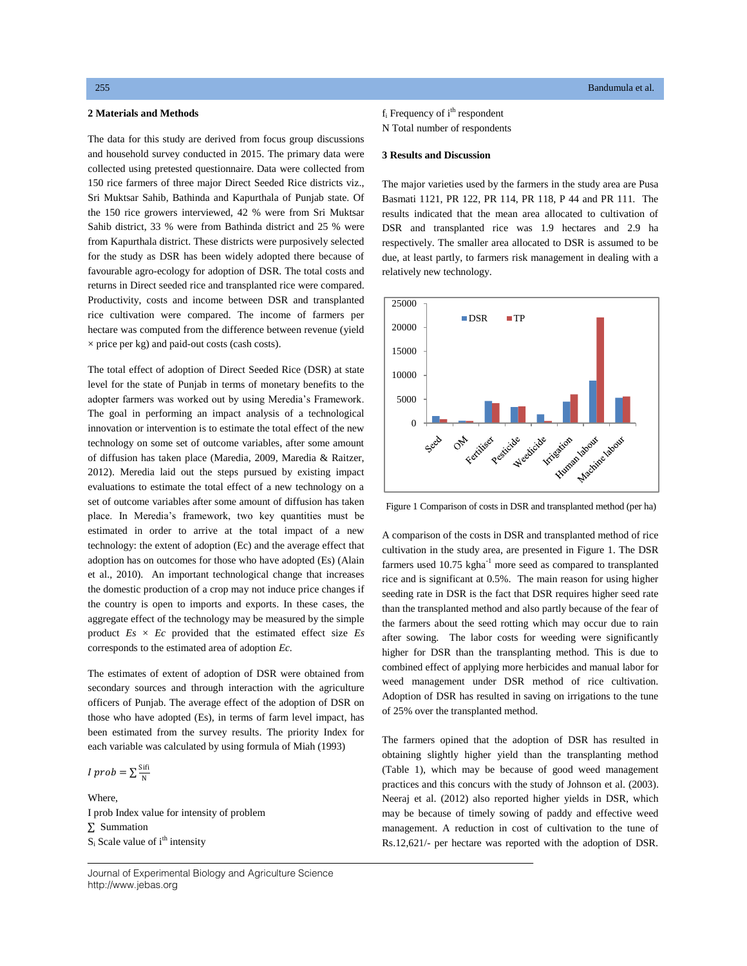# **2 Materials and Methods**

 150 rice farmers of three major Direct Seeded Rice districts viz., The data for this study are derived from focus group discussions and household survey conducted in 2015. The primary data were collected using pretested questionnaire. Data were collected from Sri Muktsar Sahib, Bathinda and Kapurthala of Punjab state. Of the 150 rice growers interviewed, 42 % were from Sri Muktsar Sahib district, 33 % were from Bathinda district and 25 % were from Kapurthala district. These districts were purposively selected for the study as DSR has been widely adopted there because of favourable agro-ecology for adoption of DSR. The total costs and returns in Direct seeded rice and transplanted rice were compared. Productivity, costs and income between DSR and transplanted rice cultivation were compared. The income of farmers per hectare was computed from the difference between revenue (yield  $\times$  price per kg) and paid-out costs (cash costs).

The total effect of adoption of Direct Seeded Rice (DSR) at state level for the state of Punjab in terms of monetary benefits to the adopter farmers was worked out by using Meredia"s Framework. The goal in performing an impact analysis of a technological innovation or intervention is to estimate the total effect of the new technology on some set of outcome variables, after some amount of diffusion has taken place (Maredia, 2009, Maredia & Raitzer, 2012). Meredia laid out the steps pursued by existing impact evaluations to estimate the total effect of a new technology on a set of outcome variables after some amount of diffusion has taken place. In Meredia"s framework, two key quantities must be estimated in order to arrive at the total impact of a new technology: the extent of adoption (Ec) and the average effect that adoption has on outcomes for those who have adopted (Es) (Alain et al., 2010). An important technological change that increases the domestic production of a crop may not induce price changes if the country is open to imports and exports. In these cases, the aggregate effect of the technology may be measured by the simple product  $Es \times Ec$  provided that the estimated effect size  $Es$ corresponds to the estimated area of adoption *Ec.*

The estimates of extent of adoption of DSR were obtained from secondary sources and through interaction with the agriculture officers of Punjab. The average effect of the adoption of DSR on those who have adopted (Es), in terms of farm level impact, has been estimated from the survey results. The priority Index for each variable was calculated by using formula of Miah (1993)

$$
I\;prob=\sum\frac{\rm{Sifi}}{\rm{N}}
$$

Where, I prob Index value for intensity of problem ∑ Summation  $S_i$  Scale value of  $i<sup>th</sup>$  intensity

 $f_i$  Frequency of  $i<sup>th</sup>$  respondent N Total number of respondents

### **3 Results and Discussion**

The major varieties used by the farmers in the study area are Pusa Basmati 1121, PR 122, PR 114, PR 118, P 44 and PR 111. The results indicated that the mean area allocated to cultivation of DSR and transplanted rice was 1.9 hectares and 2.9 ha respectively. The smaller area allocated to DSR is assumed to be due, at least partly, to farmers risk management in dealing with a relatively new technology.



Figure 1 Comparison of costs in DSR and transplanted method (per ha)

A comparison of the costs in DSR and transplanted method of rice cultivation in the study area, are presented in Figure 1. The DSR farmers used 10.75 kgha<sup>-1</sup> more seed as compared to transplanted rice and is significant at 0.5%. The main reason for using higher seeding rate in DSR is the fact that DSR requires higher seed rate than the transplanted method and also partly because of the fear of the farmers about the seed rotting which may occur due to rain after sowing. The labor costs for weeding were significantly higher for DSR than the transplanting method. This is due to combined effect of applying more herbicides and manual labor for weed management under DSR method of rice cultivation. Adoption of DSR has resulted in saving on irrigations to the tune of 25% over the transplanted method.

The farmers opined that the adoption of DSR has resulted in obtaining slightly higher yield than the transplanting method (Table 1), which may be because of good weed management practices and this concurs with the study of Johnson et al. (2003). Neeraj et al. (2012) also reported higher yields in DSR, which may be because of timely sowing of paddy and effective weed management. A reduction in cost of cultivation to the tune of Rs.12,621/- per hectare was reported with the adoption of DSR.

Journal of Experimental Biology and Agriculture Science http://www.jebas.org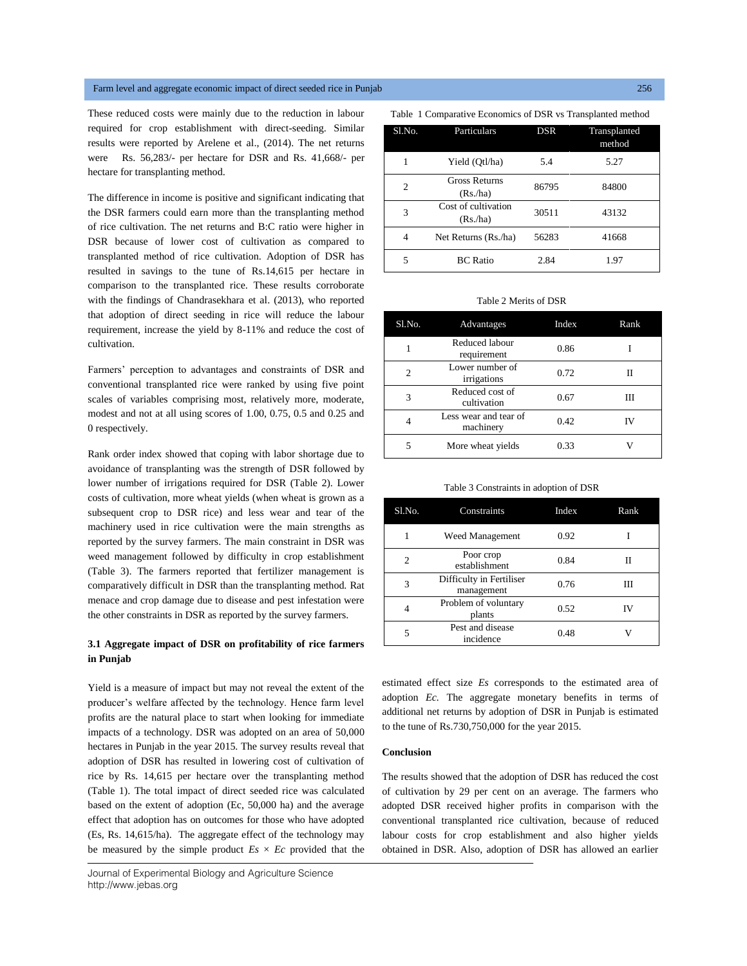## Farm level and aggregate economic impact of direct seeded rice in Punjab 256

These reduced costs were mainly due to the reduction in labour required for crop establishment with direct-seeding. Similar results were reported by Arelene et al., (2014). The net returns were Rs. 56,283/- per hectare for DSR and Rs. 41,668/- per hectare for transplanting method.

The difference in income is positive and significant indicating that the DSR farmers could earn more than the transplanting method of rice cultivation. The net returns and B:C ratio were higher in DSR because of lower cost of cultivation as compared to transplanted method of rice cultivation. Adoption of DSR has resulted in savings to the tune of Rs.14,615 per hectare in comparison to the transplanted rice. These results corroborate with the findings of Chandrasekhara et al. (2013), who reported that adoption of direct seeding in rice will reduce the labour requirement, increase the yield by 8-11% and reduce the cost of cultivation.

Farmers" perception to advantages and constraints of DSR and conventional transplanted rice were ranked by using five point scales of variables comprising most, relatively more, moderate, modest and not at all using scores of 1.00, 0.75, 0.5 and 0.25 and 0 respectively.

Rank order index showed that coping with labor shortage due to avoidance of transplanting was the strength of DSR followed by lower number of irrigations required for DSR (Table 2). Lower costs of cultivation, more wheat yields (when wheat is grown as a subsequent crop to DSR rice) and less wear and tear of the machinery used in rice cultivation were the main strengths as reported by the survey farmers. The main constraint in DSR was weed management followed by difficulty in crop establishment (Table 3). The farmers reported that fertilizer management is comparatively difficult in DSR than the transplanting method. Rat menace and crop damage due to disease and pest infestation were the other constraints in DSR as reported by the survey farmers.

# **3.1 Aggregate impact of DSR on profitability of rice farmers in Punjab**

Yield is a measure of impact but may not reveal the extent of the producer"s welfare affected by the technology. Hence farm level profits are the natural place to start when looking for immediate impacts of a technology. DSR was adopted on an area of 50,000 hectares in Punjab in the year 2015. The survey results reveal that adoption of DSR has resulted in lowering cost of cultivation of rice by Rs. 14,615 per hectare over the transplanting method (Table 1). The total impact of direct seeded rice was calculated based on the extent of adoption (Ec, 50,000 ha) and the average effect that adoption has on outcomes for those who have adopted (Es, Rs. 14,615/ha). The aggregate effect of the technology may be measured by the simple product  $Es \times Ec$  provided that the

|  |  |  |  | Table 1 Comparative Economics of DSR vs Transplanted method |  |
|--|--|--|--|-------------------------------------------------------------|--|
|--|--|--|--|-------------------------------------------------------------|--|

| Sl.No.         | Particulars                     | <b>DSR</b> | Transplanted<br>method |
|----------------|---------------------------------|------------|------------------------|
| 1              | Yield (Otl/ha)                  | 5.4        | 5.27                   |
| $\overline{c}$ | <b>Gross Returns</b><br>(Rs/ha) | 86795      | 84800                  |
| 3              | Cost of cultivation<br>(Rs/ha)  | 30511      | 43132                  |
| 4              | Net Returns (Rs./ha)            | 56283      | 41668                  |
| 5              | <b>BC</b> Ratio                 | 2.84       | 1.97                   |

#### Table 2 Merits of DSR

| Sl.No.         | Advantages                         | Index | Rank |
|----------------|------------------------------------|-------|------|
|                | Reduced labour<br>requirement      | 0.86  |      |
| $\overline{c}$ | Lower number of<br>irrigations     | 0.72  |      |
| 3              | Reduced cost of<br>cultivation     | 0.67  | Ш    |
|                | Less wear and tear of<br>machinery | 0.42  | IV   |
| 5              | More wheat yields                  | 0.33  |      |

Table 3 Constraints in adoption of DSR

| Sl.No. | Constraints                            | Index | Rank |
|--------|----------------------------------------|-------|------|
| 1      | Weed Management                        | 0.92  |      |
| 2      | Poor crop<br>establishment             | 0.84  | Н    |
| 3      | Difficulty in Fertiliser<br>management | 0.76  | Ш    |
| 4      | Problem of voluntary<br>plants         | 0.52  | ΙV   |
| 5      | Pest and disease<br>incidence          | 0.48  |      |

estimated effect size *Es* corresponds to the estimated area of adoption *Ec.* The aggregate monetary benefits in terms of additional net returns by adoption of DSR in Punjab is estimated to the tune of Rs.730,750,000 for the year 2015.

#### **Conclusion**

The results showed that the adoption of DSR has reduced the cost of cultivation by 29 per cent on an average. The farmers who adopted DSR received higher profits in comparison with the conventional transplanted rice cultivation, because of reduced labour costs for crop establishment and also higher yields obtained in DSR. Also, adoption of DSR has allowed an earlier